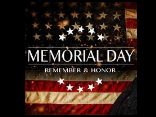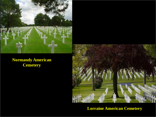

**Normandy American Cemetery**



**Lorraine American Cemetery**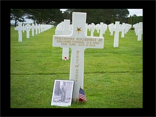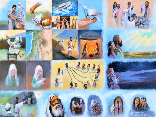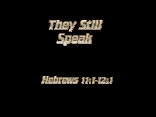

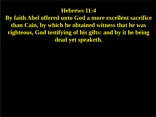#### **Hebrews 11:4**

**By faith Abel offered unto God a more excellent sacrifice than Cain, by which he obtained witness that he was righteous, God testifying of his gifts: and by it he being dead yet speaketh.**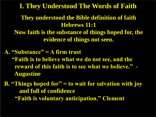# **They understood the Bible definition of faith Hebrews 11:1 Now faith is the substance of things hoped for, the evidence of things not seen. I. They Understood The Words of Faith**

**A. "Substance" = A firm trust "Faith is to believe what we do not see, and the reward of this faith is to see what we believe." - Augustine** 

**B. "Things hoped for" = to wait for salvation with joy and full of confidence "Faith is voluntary anticipation." Clement**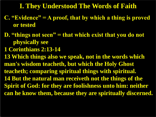## **I. They Understood The Words of Faith**

- **C. "Evidence" = A proof, that by which a thing is proved or tested**
- **D. "things not seen" = that which exist that you do not physically see**
- **1 Corinthians 2:13-14**

**13 Which things also we speak, not in the words which man's wisdom teacheth, but which the Holy Ghost teacheth; comparing spiritual things with spiritual. 14 But the natural man receiveth not the things of the Spirit of God: for they are foolishness unto him: neither can he know them, because they are spiritually discerned.**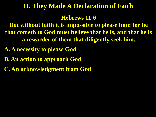### **II. They Made A Declaration of Faith**

**Hebrews 11:6**

**But without faith it is impossible to please him: for he that cometh to God must believe that he is, and that he is a rewarder of them that diligently seek him.**

**A. A necessity to please God**

**B. An action to approach God**

**C. An acknowledgment from God**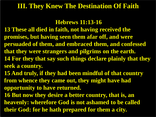#### **III. They Knew The Destination Of Faith**

#### **Hebrews 11:13-16**

- **13 These all died in faith, not having received the promises, but having seen them afar off, and were persuaded of them, and embraced them, and confessed that they were strangers and pilgrims on the earth. 14 For they that say such things declare plainly that they seek a country.**
- **15 And truly, if they had been mindful of that country from whence they came out, they might have had opportunity to have returned.**
- **16 But now they desire a better country, that is, an heavenly: wherefore God is not ashamed to be called their God: for he hath prepared for them a city.**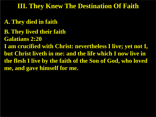**III. They Knew The Destination Of Faith** 

- **A. They died in faith**
- **B. They lived their faith Galatians 2:20**

**I am crucified with Christ: nevertheless I live; yet not I, but Christ liveth in me: and the life which I now live in the flesh I live by the faith of the Son of God, who loved me, and gave himself for me.**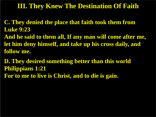**III. They Knew The Destination Of Faith** 

**C. They denied the place that faith took them from Luke 9:23**

**And he said to them all, If any man will come after me, let him deny himself, and take up his cross daily, and follow me.**

**D. They desired something better than this world Philippians 1:21 For to me to live is Christ, and to die is gain.**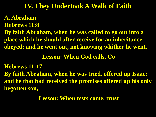### **IV. They Undertook A Walk of Faith**

**A. Abraham Hebrews 11:8**

**By faith Abraham, when he was called to go out into a place which he should after receive for an inheritance, obeyed; and he went out, not knowing whither he went.**

**Lesson: When God calls,** *Go*

**Hebrews 11:17 By faith Abraham, when he was tried, offered up Isaac: and he that had received the promises offered up his only begotten son,**

**Lesson: When tests come, trust**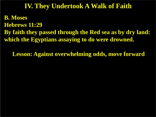#### **IV. They Undertook A Walk of Faith**

**B. Moses Hebrews 11:29 By faith they passed through the Red sea as by dry land: which the Egyptians assaying to do were drowned.**

**Lesson: Against overwhelming odds, move forward**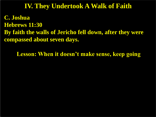#### **IV. They Undertook A Walk of Faith**

**C. Joshua Hebrews 11:30 By faith the walls of Jericho fell down, after they were compassed about seven days.**

**Lesson: When it doesn't make sense, keep going**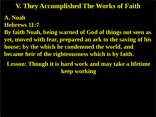## **V. They Accomplished The Works of Faith**

# **A. Noah Hebrews 11:7 By faith Noah, being warned of God of things not seen as yet, moved with fear, prepared an ark to the saving of his house; by the which he condemned the world, and became heir of the righteousness which is by faith.**

**Lesson: Though it is hard work and may take a lifetime keep working**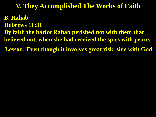**V. They Accomplished The Works of Faith**

**B. Rahab Hebrews 11:31 By faith the harlot Rahab perished not with them that believed not, when she had received the spies with peace. Lesson: Even though it involves great risk, side with God**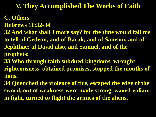## **V. They Accomplished The Works of Faith**

- **C. Others**
- **Hebrews 11:32-34**
- **32 And what shall I more say? for the time would fail me to tell of Gedeon, and of Barak, and of Samson, and of Jephthae; of David also, and Samuel, and of the prophets:**
- **33 Who through faith subdued kingdoms, wrought righteousness, obtained promises, stopped the mouths of lions.**
- **34 Quenched the violence of fire, escaped the edge of the sword, out of weakness were made strong, waxed valiant in fight, turned to flight the armies of the aliens.**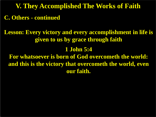**C. Others - continued V. They Accomplished The Works of Faith**

**Lesson: Every victory and every accomplishment in life is given to us by grace through faith 1 John 5:4 For whatsoever is born of God overcometh the world: and this is the victory that overcometh the world, even our faith.**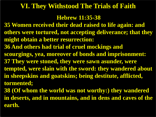## **VI. They Withstood The Trials of Faith**

**Hebrew 11:35-38**

**35 Women received their dead raised to life again: and others were tortured, not accepting deliverance; that they might obtain a better resurrection: 36 And others had trial of cruel mockings and scourgings, yea, moreover of bonds and imprisonment: 37 They were stoned, they were sawn asunder, were tempted, were slain with the sword: they wandered about in sheepskins and goatskins; being destitute, afflicted, tormented;**

**38 (Of whom the world was not worthy:) they wandered in deserts, and in mountains, and in dens and caves of the earth.**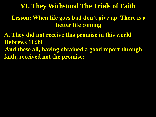## **VI. They Withstood The Trials of Faith**

**Lesson: When life goes bad don't give up. There is a better life coming**

**A. They did not receive this promise in this world Hebrews 11:39 And these all, having obtained a good report through faith, received not the promise:**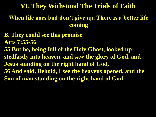## **VI. They Withstood The Trials of Faith**

## **When life goes bad don't give up. There is a better life coming**

**B. They could see this promise Acts 7:55-56 55 But he, being full of the Holy Ghost, looked up stedfastly into heaven, and saw the glory of God, and Jesus standing on the right hand of God, 56 And said, Behold, I see the heavens opened, and the Son of man standing on the right hand of God.**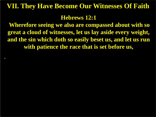#### **VII. They Have Become Our Witnesses Of Faith**

**Hebrews 12:1**

**Wherefore seeing we also are compassed about with so great a cloud of witnesses, let us lay aside every weight, and the sin which doth so easily beset us, and let us run with patience the race that is set before us,**

.